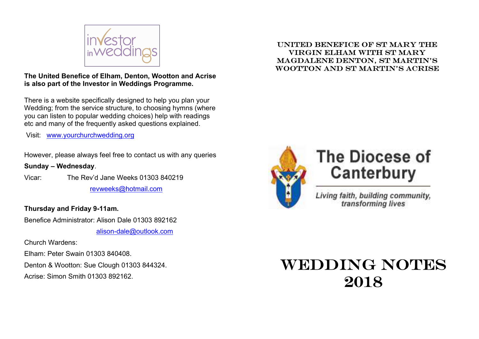

# The United Benefice of Elham, Denton, Wootton and Acrise is also part of the Investor in Weddings Programme.

There is a website specifically designed to help you plan your Wedding; from the service structure, to choosing hymns (where you can listen to popular wedding choices) help with readings etc and many of the frequently asked questions explained.

Visit: www.yourchurchwedding.org

However, please always feel free to contact us with any queries

# Sunday – Wednesday.

Vicar: The Rev'd Jane Weeks 01303 840219 revweeks@hotmail.com

# Thursday and Friday 9-11am.

Benefice Administrator: Alison Dale 01303 892162

alison-dale@outlook.com

Church Wardens:

Elham: Peter Swain 01303 840408.

Denton & Wootton: Sue Clough 01303 844324.

Acrise: Simon Smith 01303 892162.

# United Benefice of St Mary the Virgin Elham with St Mary Magdalene Denton, St Martin's wootton and St Martin's Acrise



# **The Diocese of** Canterbury

Living faith, building community, transforming lives

# WEDDING NOTES 2018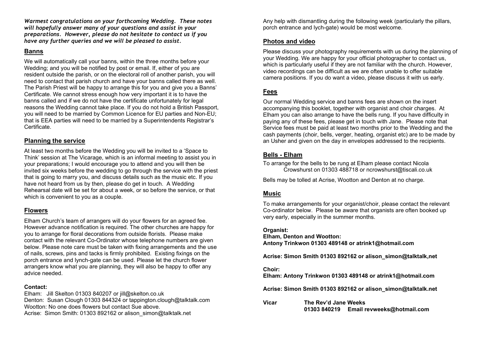Warmest congratulations on your forthcoming Wedding. These notes will hopefully answer many of your questions and assist in your preparations. However, please do not hesitate to contact us if you have any further queries and we will be pleased to assist.

#### Banns

We will automatically call your banns, within the three months before your Wedding; and you will be notified by post or email. If, either of you are resident outside the parish, or on the electoral roll of another parish, you will need to contact that parish church and have your banns called there as well. The Parish Priest will be happy to arrange this for you and give you a Banns' Certificate. We cannot stress enough how very important it is to have the banns called and if we do not have the certificate unfortunately for legal reasons the Wedding cannot take place. If you do not hold a British Passport, you will need to be married by Common Licence for EU parties and Non-EU; that is EEA parties will need to be married by a Superintendents Registrar's Certificate.

## Planning the service

At least two months before the Wedding you will be invited to a 'Space to Think' session at The Vicarage, which is an informal meeting to assist you in your preparations; I would encourage you to attend and you will then be invited six weeks before the wedding to go through the service with the priest that is going to marry you, and discuss details such as the music etc. If you have not heard from us by then, please do get in touch. A Wedding Rehearsal date will be set for about a week, or so before the service, or that which is convenient to you as a couple.

## Flowers

Elham Church's team of arrangers will do your flowers for an agreed fee. However advance notification is required. The other churches are happy for you to arrange for floral decorations from outside florists. Please make contact with the relevant Co-Ordinator whose telephone numbers are given below. Please note care must be taken with fixing arrangements and the use of nails, screws, pins and tacks is firmly prohibited. Existing fixings on the porch entrance and lynch-gate can be used. Please let the church flower arrangers know what you are planning, they will also be happy to offer any advice needed.

#### Contact:

Elham: Jill Skelton 01303 840207 or jill@skelton.co.uk Denton: Susan Clough 01303 844324 or tappington.clough@talktalk.com Wootton: No one does flowers but contact Sue above. Acrise: Simon Smith: 01303 892162 or alison simon@talktalk.net

Any help with dismantling during the following week (particularly the pillars, porch entrance and lych-gate) would be most welcome.

## Photos and video

Please discuss your photography requirements with us during the planning of your Wedding. We are happy for your official photographer to contact us, which is particularly useful if they are not familiar with the church. However, video recordings can be difficult as we are often unable to offer suitable camera positions. If you do want a video, please discuss it with us early.

# Fees

Our normal Wedding service and banns fees are shown on the insert accompanying this booklet, together with organist and choir charges. At Elham you can also arrange to have the bells rung. If you have difficulty in paying any of these fees, please get in touch with Jane. Please note that Service fees must be paid at least two months prior to the Wedding and the cash payments (choir, bells, verger, heating, organist etc) are to be made by an Usher and given on the day in envelopes addressed to the recipients.

## Bells - Elham

To arrange for the bells to be rung at Elham please contact Nicola Crowshurst on 01303 488718 or ncrowshurst@tiscali.co.uk

Bells may be tolled at Acrise, Wootton and Denton at no charge.

# Music

To make arrangements for your organist/choir, please contact the relevant Co-ordinator below. Please be aware that organists are often booked up very early, especially in the summer months.

### Organist:

Elham, Denton and Wootton: Antony Trinkwon 01303 489148 or atrink1@hotmail.com

Acrise: Simon Smith 01303 892162 or alison\_simon@talktalk,net

### Choir:

Elham: Antony Trinkwon 01303 489148 or atrink1@hotmail.com

Acrise: Simon Smith 01303 892162 or alison\_simon@talktalk.net

Vicar The Rev'd Jane Weeks 01303 840219 Email revweeks@hotmail.com